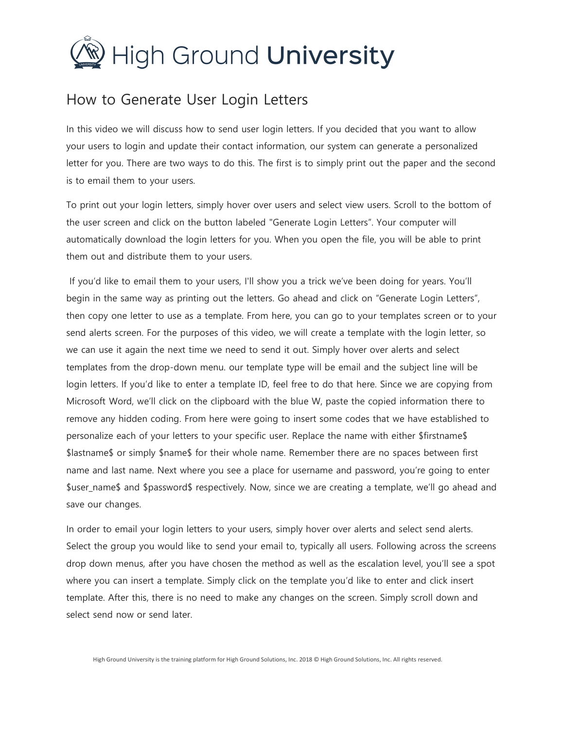

## How to Generate User Login Letters

In this video we will discuss how to send user login letters. If you decided that you want to allow your users to login and update their contact information, our system can generate a personalized letter for you. There are two ways to do this. The first is to simply print out the paper and the second is to email them to your users.

To print out your login letters, simply hover over users and select view users. Scroll to the bottom of the user screen and click on the button labeled "Generate Login Letters". Your computer will automatically download the login letters for you. When you open the file, you will be able to print them out and distribute them to your users.

If you'd like to email them to your users, I'll show you a trick we've been doing for years. You'll begin in the same way as printing out the letters. Go ahead and click on "Generate Login Letters", then copy one letter to use as a template. From here, you can go to your templates screen or to your send alerts screen. For the purposes of this video, we will create a template with the login letter, so we can use it again the next time we need to send it out. Simply hover over alerts and select templates from the drop-down menu. our template type will be email and the subject line will be login letters. If you'd like to enter a template ID, feel free to do that here. Since we are copying from Microsoft Word, we'll click on the clipboard with the blue W, paste the copied information there to remove any hidden coding. From here were going to insert some codes that we have established to personalize each of your letters to your specific user. Replace the name with either \$firstname\$ \$lastname\$ or simply \$name\$ for their whole name. Remember there are no spaces between first name and last name. Next where you see a place for username and password, you're going to enter \$user\_name\$ and \$password\$ respectively. Now, since we are creating a template, we'll go ahead and save our changes.

In order to email your login letters to your users, simply hover over alerts and select send alerts. Select the group you would like to send your email to, typically all users. Following across the screens drop down menus, after you have chosen the method as well as the escalation level, you'll see a spot where you can insert a template. Simply click on the template you'd like to enter and click insert template. After this, there is no need to make any changes on the screen. Simply scroll down and select send now or send later.

High Ground University is the training platform for High Ground Solutions, Inc. 2018 © High Ground Solutions, Inc. All rights reserved.